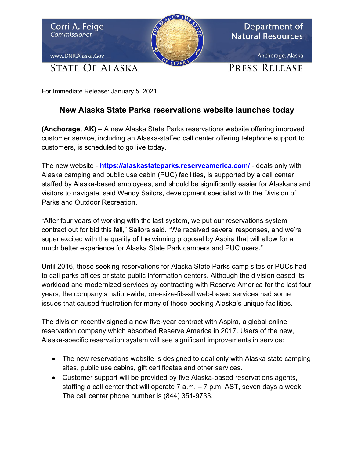

For Immediate Release: January 5, 2021

## **New Alaska State Parks reservations website launches today**

**(Anchorage, AK)** – A new Alaska State Parks reservations website offering improved customer service, including an Alaska-staffed call center offering telephone support to customers, is scheduled to go live today.

The new website - **<https://alaskastateparks.reserveamerica.com/>** - deals only with Alaska camping and public use cabin (PUC) facilities, is supported by a call center staffed by Alaska-based employees, and should be significantly easier for Alaskans and visitors to navigate, said Wendy Sailors, development specialist with the Division of Parks and Outdoor Recreation.

"After four years of working with the last system, we put our reservations system contract out for bid this fall," Sailors said. "We received several responses, and we're super excited with the quality of the winning proposal by Aspira that will allow for a much better experience for Alaska State Park campers and PUC users."

Until 2016, those seeking reservations for Alaska State Parks camp sites or PUCs had to call parks offices or state public information centers. Although the division eased its workload and modernized services by contracting with Reserve America for the last four years, the company's nation-wide, one-size-fits-all web-based services had some issues that caused frustration for many of those booking Alaska's unique facilities.

The division recently signed a new five-year contract with Aspira, a global online reservation company which absorbed Reserve America in 2017. Users of the new, Alaska-specific reservation system will see significant improvements in service:

- The new reservations website is designed to deal only with Alaska state camping sites, public use cabins, gift certificates and other services.
- Customer support will be provided by five Alaska-based reservations agents, staffing a call center that will operate 7 a.m. **–** 7 p.m. AST, seven days a week. The call center phone number is (844) 351-9733.